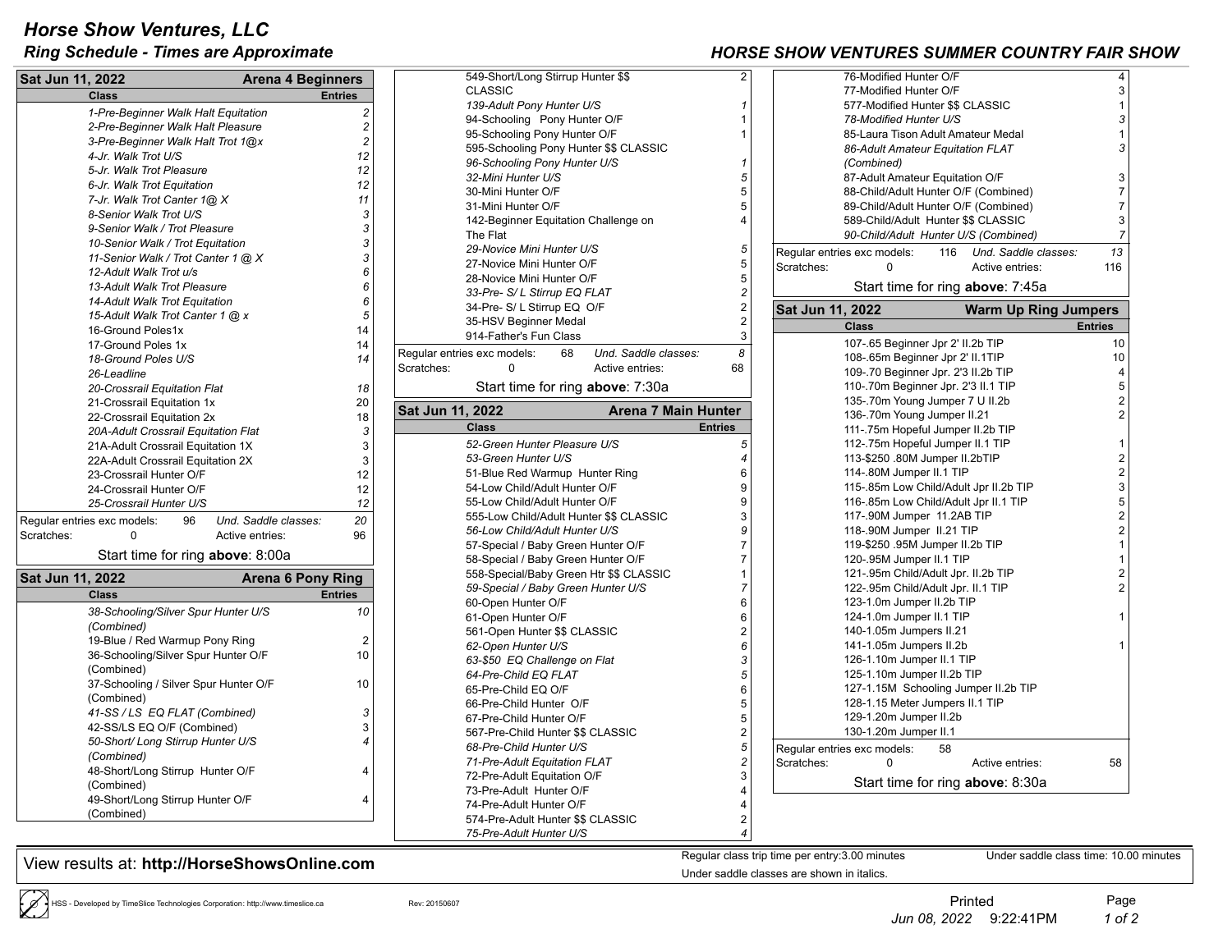## *Horse Show Ventures, LLC*

## **Ring Schedule - Times are Approximate And Countries** *Ring Schedule - Times are Approximate**FAIR SUMMER SHOW VENTURES SUMMER* **FAIR SHOW VENTURES SUMMER FAIR SHOW VENTURES SUMMER SHOW VENTURES SUMMER SHOW VENTURES SUMME**

| Sat Jun 11, 2022                                               |                                         | <b>Arena 4 Beginners</b> |                                                      | 549-Short/Long Stirrup Hunter \$\$               |                      | $\overline{2}$ |                                   | 76-Modified Hunter O/             |
|----------------------------------------------------------------|-----------------------------------------|--------------------------|------------------------------------------------------|--------------------------------------------------|----------------------|----------------|-----------------------------------|-----------------------------------|
|                                                                | <b>Class</b>                            |                          | <b>Entries</b>                                       | <b>CLASSIC</b>                                   |                      |                |                                   | 77-Modified Hunter O              |
| $\overline{c}$<br>1-Pre-Beginner Walk Halt Equitation          |                                         |                          | 139-Adult Pony Hunter U/S<br>$\mathbf{1}$            |                                                  |                      |                | 577-Modified Hunter \$            |                                   |
| 2-Pre-Beginner Walk Halt Pleasure                              |                                         |                          | $\overline{c}$                                       | 94-Schooling Pony Hunter O/F<br>$\overline{1}$   |                      |                |                                   | 78-Modified Hunter U.             |
| $\overline{c}$                                                 |                                         |                          | 95-Schooling Pony Hunter O/F<br>$\overline{1}$       |                                                  |                      |                | 85-Laura Tison Adult /            |                                   |
| 3-Pre-Beginner Walk Halt Trot 1@x<br>12<br>4-Jr. Walk Trot U/S |                                         |                          | 595-Schooling Pony Hunter \$\$ CLASSIC               |                                                  |                      |                | 86-Adult Amateur Equ              |                                   |
|                                                                |                                         |                          | 12                                                   | 96-Schooling Pony Hunter U/S<br>$\mathbf{1}$     |                      |                |                                   | (Combined)                        |
|                                                                | 5-Jr. Walk Trot Pleasure                |                          |                                                      | 5<br>32-Mini Hunter U/S                          |                      |                |                                   | 87-Adult Amateur Equ              |
|                                                                | 6-Jr. Walk Trot Equitation              |                          | 12                                                   | 5<br>30-Mini Hunter O/F                          |                      |                |                                   | 88-Child/Adult Hunter             |
|                                                                | 7-Jr. Walk Trot Canter 1@ X             |                          | 11                                                   | 5<br>31-Mini Hunter O/F                          |                      |                |                                   | 89-Child/Adult Hunter             |
|                                                                | 8-Senior Walk Trot U/S                  |                          | 3                                                    | 142-Beginner Equitation Challenge on             |                      | $\overline{4}$ |                                   | 589-Child/Adult Hunte             |
|                                                                | 3<br>9-Senior Walk / Trot Pleasure      |                          |                                                      | The Flat                                         |                      |                |                                   | 90-Child/Adult Hunter             |
|                                                                | 3<br>10-Senior Walk / Trot Equitation   |                          |                                                      | 5<br>29-Novice Mini Hunter U/S                   |                      |                |                                   | Regular entries exc models:<br>11 |
|                                                                | 3<br>11-Senior Walk / Trot Canter 1 @ X |                          |                                                      | $\sqrt{5}$<br>27-Novice Mini Hunter O/F          |                      |                | Scratches:                        | $\Omega$                          |
|                                                                | 12-Adult Walk Trot u/s                  |                          | 6<br>6                                               | 28-Novice Mini Hunter O/F                        |                      | 5              |                                   |                                   |
|                                                                | 13-Adult Walk Trot Pleasure             |                          |                                                      | $\overline{c}$<br>33-Pre- S/ L Stirrup EQ FLAT   |                      |                |                                   | Start time for rin                |
|                                                                | 14-Adult Walk Trot Equitation           |                          | 6                                                    | 34-Pre- S/ L Stirrup EQ O/F                      |                      | $\overline{c}$ | Sat Jun 11, 2022                  |                                   |
|                                                                | 15-Adult Walk Trot Canter 1 @ x         |                          | 5<br>14                                              | 35-HSV Beginner Medal                            |                      | $\overline{2}$ |                                   |                                   |
|                                                                | 16-Ground Poles1x                       |                          |                                                      | 914-Father's Fun Class                           |                      | 3              |                                   | <b>Class</b>                      |
|                                                                | 17-Ground Poles 1x                      |                          | 14<br>14                                             | Regular entries exc models:<br>68                | Und. Saddle classes: | 8              |                                   | 107-.65 Beginner Jpr              |
|                                                                | 18-Ground Poles U/S                     |                          |                                                      | Scratches:<br>$\Omega$                           | Active entries:      | 68             |                                   | 108-.65m Beginner Jp              |
|                                                                | 26-Leadline                             |                          |                                                      |                                                  |                      |                |                                   | 109-.70 Beginner Jpr.             |
|                                                                | 20-Crossrail Equitation Flat<br>18      |                          |                                                      | Start time for ring above: 7:30a                 |                      |                |                                   | 110-.70m Beginner Jp              |
|                                                                | 21-Crossrail Equitation 1x              |                          |                                                      | <b>Arena 7 Main Hunter</b>                       |                      |                |                                   | 135-.70m Young Jump               |
|                                                                | 22-Crossrail Equitation 2x              |                          |                                                      | Sat Jun 11, 2022                                 |                      |                |                                   | 136-.70m Young Jump               |
|                                                                | 20A-Adult Crossrail Equitation Flat     |                          | 3                                                    | <b>Class</b>                                     |                      | <b>Entries</b> |                                   | 111-.75m Hopeful Jum              |
|                                                                | 21A-Adult Crossrail Equitation 1X       |                          | 3                                                    | 52-Green Hunter Pleasure U/S                     |                      | 5              |                                   | 112-.75m Hopeful Jun              |
| 22A-Adult Crossrail Equitation 2X                              |                                         | 3                        | 53-Green Hunter U/S                                  |                                                  | 4                    |                | 113-\$250 .80M Jumpe              |                                   |
| 23-Crossrail Hunter O/F                                        |                                         | 12                       | 51-Blue Red Warmup Hunter Ring                       |                                                  | 6                    |                | 114-.80M Jumper II.1              |                                   |
| 24-Crossrail Hunter O/F                                        |                                         |                          | 12                                                   | 9<br>54-Low Child/Adult Hunter O/F               |                      |                |                                   | 115-.85m Low Child/A              |
| 25-Crossrail Hunter U/S                                        |                                         |                          | 12                                                   | 55-Low Child/Adult Hunter O/F                    |                      | 9              |                                   | 116-.85m Low Child/A              |
| Regular entries exc models:                                    | 96                                      | Und. Saddle classes:     | 20                                                   | 555-Low Child/Adult Hunter \$\$ CLASSIC          |                      | 3              |                                   | 117-.90M Jumper 11.               |
| Scratches:                                                     | $\Omega$                                | Active entries:          | 96                                                   | 56-Low Child/Adult Hunter U/S                    |                      | 9              |                                   | 118-.90M Jumper II.2              |
|                                                                |                                         |                          |                                                      | 57-Special / Baby Green Hunter O/F               |                      | $\overline{7}$ |                                   | 119-\$250 .95M Jumpe              |
| Start time for ring <b>above</b> : 8:00a                       |                                         |                          | $\overline{7}$<br>58-Special / Baby Green Hunter O/F |                                                  |                      |                | 120-.95M Jumper II.1              |                                   |
| Sat Jun 11, 2022                                               |                                         | <b>Arena 6 Pony Ring</b> |                                                      | 558-Special/Baby Green Htr \$\$ CLASSIC          |                      | $\overline{1}$ |                                   | 121-.95m Child/Adult              |
| <b>Class</b>                                                   |                                         |                          | <b>Entries</b>                                       | 59-Special / Baby Green Hunter U/S               |                      | $\overline{7}$ |                                   | 122-.95m Child/Adult              |
|                                                                | 38-Schooling/Silver Spur Hunter U/S     |                          | 10                                                   | 60-Open Hunter O/F                               |                      | 6              |                                   | 123-1.0m Jumper II.2b             |
|                                                                |                                         |                          |                                                      | 61-Open Hunter O/F                               |                      | 6              |                                   | 124-1.0m Jumper II.1              |
| (Combined)<br>19-Blue / Red Warmup Pony Ring                   |                                         |                          | $\overline{2}$                                       | 561-Open Hunter \$\$ CLASSIC                     |                      | $\overline{2}$ |                                   | 140-1.05m Jumpers II              |
| 36-Schooling/Silver Spur Hunter O/F                            |                                         |                          | 10                                                   | 62-Open Hunter U/S                               |                      | 6              |                                   | 141-1.05m Jumpers II              |
| (Combined)                                                     |                                         |                          |                                                      | 3<br>63-\$50 EQ Challenge on Flat                |                      |                |                                   | 126-1.10m Jumper II.              |
| 37-Schooling / Silver Spur Hunter O/F<br>10                    |                                         |                          |                                                      | 5<br>64-Pre-Child EQ FLAT                        |                      |                |                                   | 125-1.10m Jumper II.2             |
| (Combined)                                                     |                                         |                          | 6<br>65-Pre-Child EQ O/F                             |                                                  |                      |                | 127-1.15M Schooling               |                                   |
| 3<br>41-SS / LS EQ FLAT (Combined)                             |                                         |                          | 5<br>66-Pre-Child Hunter O/F                         |                                                  |                      |                | 128-1.15 Meter Jumpe              |                                   |
| 42-SS/LS EQ O/F (Combined)<br>3                                |                                         |                          | 5<br>67-Pre-Child Hunter O/F                         |                                                  |                      |                | 129-1.20m Jumper II.2             |                                   |
| 50-Short/ Long Stirrup Hunter U/S<br>$\overline{4}$            |                                         |                          | $\mathbf 2$<br>567-Pre-Child Hunter \$\$ CLASSIC     |                                                  |                      |                | 130-1.20m Jumper II.              |                                   |
| (Combined)                                                     |                                         |                          | 5<br>68-Pre-Child Hunter U/S                         |                                                  |                      |                | 58<br>Regular entries exc models: |                                   |
| 48-Short/Long Stirrup Hunter O/F<br>4                          |                                         |                          | $\overline{c}$<br>71-Pre-Adult Equitation FLAT       |                                                  |                      | Scratches:     | 0                                 |                                   |
|                                                                |                                         |                          | 3<br>72-Pre-Adult Equitation O/F                     |                                                  |                      |                | Start time for rin                |                                   |
| (Combined)<br>49-Short/Long Stirrup Hunter O/F                 |                                         |                          |                                                      | 73-Pre-Adult Hunter O/F<br>$\boldsymbol{\Delta}$ |                      |                |                                   |                                   |
|                                                                |                                         |                          | 4                                                    | 74-Pre-Adult Hunter O/F<br>$\overline{4}$        |                      |                |                                   |                                   |
|                                                                | (Combined)                              |                          |                                                      | 574-Pre-Adult Hunter \$\$ CLASSIC                |                      | $\overline{2}$ |                                   |                                   |
|                                                                |                                         |                          |                                                      | 75-Pre-Adult Hunter U/S                          |                      | $\overline{4}$ |                                   |                                   |

View results at: http://HorseShowsOnline.com Regular class trip time per entry:3.00 minutes

HSS - Developed by TimeSlice Technologies Corporation: http://www.timeslice.ca Printed Page

Under saddle classes are shown in italics.